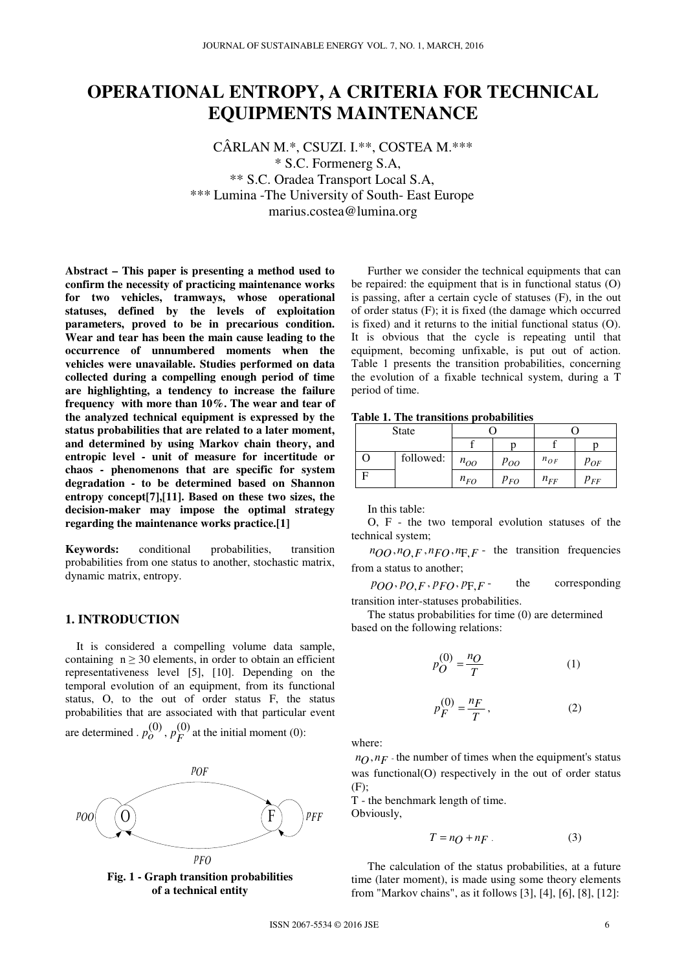# **OPERATIONAL ENTROPY, A CRITERIA FOR TECHNICAL EQUIPMENTS MAINTENANCE**

CÂRLAN M.\*, CSUZI. I.\*\*, COSTEA M.\*\*\* \* S.C. Formenerg S.A, \*\* S.C. Oradea Transport Local S.A, \*\*\* Lumina -The University of South- East Europe marius.costea@lumina.org

**Abstract – This paper is presenting a method used to confirm the necessity of practicing maintenance works for two vehicles, tramways, whose operational statuses, defined by the levels of exploitation parameters, proved to be in precarious condition. Wear and tear has been the main cause leading to the occurrence of unnumbered moments when the vehicles were unavailable. Studies performed on data collected during a compelling enough period of time are highlighting, a tendency to increase the failure frequency with more than 10%. The wear and tear of the analyzed technical equipment is expressed by the status probabilities that are related to a later moment, and determined by using Markov chain theory, and entropic level - unit of measure for incertitude or chaos - phenomenons that are specific for system degradation - to be determined based on Shannon entropy concept[7],[11]. Based on these two sizes, the decision-maker may impose the optimal strategy regarding the maintenance works practice.[1]** 

**Keywords:** conditional probabilities, transition probabilities from one status to another, stochastic matrix, dynamic matrix, entropy.

### **1. INTRODUCTION**

 It is considered a compelling volume data sample, containing  $n \geq 30$  elements, in order to obtain an efficient representativeness level [5], [10]. Depending on the temporal evolution of an equipment, from its functional status, O, to the out of order status F, the status probabilities that are associated with that particular event are determined .  $p_O^{(0)}$ ,  $p_F^{(0)}$  at the initial moment (0):





Further we consider the technical equipments that can be repaired: the equipment that is in functional status (O) is passing, after a certain cycle of statuses (F), in the out of order status (F); it is fixed (the damage which occurred is fixed) and it returns to the initial functional status (O). It is obvious that the cycle is repeating until that equipment, becoming unfixable, is put out of action. Table 1 presents the transition probabilities, concerning the evolution of a fixable technical system, during a T period of time.

#### **Table 1. The transitions probabilities**

|   | <b>State</b> |          |          |          |          |  |
|---|--------------|----------|----------|----------|----------|--|
|   |              |          |          |          |          |  |
| 0 | followed:    | $n_{OO}$ | Poo      | $n_{OF}$ | $p_{OF}$ |  |
|   |              | $n_{FO}$ | $p_{FO}$ | $n_{FF}$ | $p_{FF}$ |  |

In this table:

O, F - the two temporal evolution statuses of the technical system;

 $n_{OO}, n_{O,F}, n_{FO}, n_{F,F}$  - the transition frequencies from a status to another;

 $p_{OO}, p_{O,F}, p_{FO}, p_{F,F}$  the corresponding transition inter-statuses probabilities.

The status probabilities for time (0) are determined based on the following relations:

$$
p_Q^{(0)} = \frac{n_Q}{T} \tag{1}
$$

$$
p_F^{(0)} = \frac{n_F}{T},\tag{2}
$$

where:

 $n_O$ ,  $n_F$  – the number of times when the equipment's status was functional(O) respectively in the out of order status (F);

T - the benchmark length of time. Obviously,

$$
T = nQ + nF \tag{3}
$$

The calculation of the status probabilities, at a future time (later moment), is made using some theory elements from "Markov chains", as it follows [3], [4], [6], [8], [12]: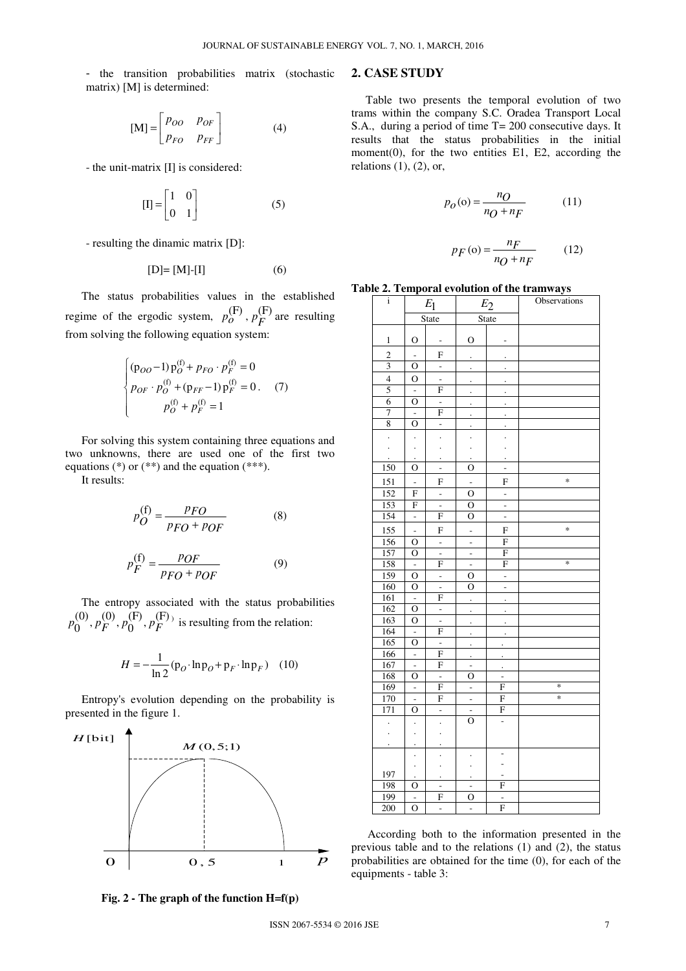- the transition probabilities matrix (stochastic matrix) [M] is determined:

$$
[\mathbf{M}] = \begin{bmatrix} P_{OO} & P_{OF} \\ P_{FO} & P_{FF} \end{bmatrix}
$$
 (4)

- the unit-matrix [I] is considered:

$$
[\mathbf{I}] = \begin{bmatrix} 1 & 0 \\ 0 & 1 \end{bmatrix} \tag{5}
$$

- resulting the dinamic matrix [D]:

$$
[D] = [M] - [I] \tag{6}
$$

The status probabilities values in the established regime of the ergodic system,  $p_o^{\text{(F)}}$ ,  $p_F^{\text{(F)}}$  are resulting from solving the following equation system:

$$
\begin{cases} (\mathbf{p}_{OO} - 1) \mathbf{p}_O^{(\mathbf{f})} + p_{FO} \cdot p_F^{(\mathbf{f})} = 0 \\ p_{OF} \cdot p_O^{(\mathbf{f})} + (\mathbf{p}_{FF} - 1) \mathbf{p}_F^{(\mathbf{f})} = 0. \quad (7) \\ p_O^{(\mathbf{f})} + p_F^{(\mathbf{f})} = 1 \end{cases}
$$

For solving this system containing three equations and two unknowns, there are used one of the first two equations (\*) or (\*\*) and the equation (\*\*\*).

It results:

$$
p_O^{\text{(f)}} = \frac{PFO}{PFO + POF} \tag{8}
$$

$$
p_F^{(f)} = \frac{p_{OF}}{p_{FO} + p_{OF}}
$$
 (9)

The entropy associated with the status probabilities  $p_0^{(0)}, p_F^{(0)}, p_0^{(F)}, p_F^{(F)}$  is resulting from the relation:

$$
H = -\frac{1}{\ln 2} (\mathbf{p}_O \cdot \ln \mathbf{p}_O + \mathbf{p}_F \cdot \ln \mathbf{p}_F) \quad (10)
$$

Entropy's evolution depending on the probability is presented in the figure 1.



**Fig. 2 - The graph of the function H=f(p)**

## **2. CASE STUDY**

 Table two presents the temporal evolution of two trams within the company S.C. Oradea Transport Local S.A., during a period of time T= 200 consecutive days. It results that the status probabilities in the initial moment(0), for the two entities E1, E2, according the relations  $(1)$ ,  $(2)$ , or,

$$
p_O(o) = \frac{n_O}{n_O + n_F} \tag{11}
$$

$$
p_F(\mathbf{o}) = \frac{n_F}{n_O + n_F} \tag{12}
$$

**Table 2. Temporal evolution of the tramways** 

| i                       |                                  | $E_1$                         | $E_2$                                  |                               | Observations |  |
|-------------------------|----------------------------------|-------------------------------|----------------------------------------|-------------------------------|--------------|--|
|                         |                                  | State                         | <b>State</b>                           |                               |              |  |
|                         |                                  |                               |                                        |                               |              |  |
| 1                       | $\mathbf{O}$                     | -                             | $\mathcal{O}$                          | -                             |              |  |
| $\overline{c}$          | L,                               | F                             | $\cdot$                                |                               |              |  |
| $\overline{\mathbf{3}}$ | O                                | $\overline{\phantom{m}}$      | $\ddot{\phantom{0}}$                   |                               |              |  |
| $\overline{4}$          | O                                | $\overline{\phantom{0}}$      |                                        |                               |              |  |
| 5                       | $\Box$                           | F                             |                                        |                               |              |  |
| 6                       | $\mathbf{O}$                     | ÷,                            |                                        |                               |              |  |
| $\overline{7}$          |                                  | F                             |                                        | $\cdot$                       |              |  |
| 8                       | $\overline{O}$                   | $\overline{\phantom{a}}$      |                                        |                               |              |  |
| $\ddot{\phantom{0}}$    |                                  |                               |                                        |                               |              |  |
|                         |                                  |                               |                                        |                               |              |  |
|                         |                                  |                               |                                        |                               |              |  |
| 150                     | $\mathbf{O}$                     | $\overline{a}$                | $\mathbf O$                            | L,                            |              |  |
| 151                     | -                                | F                             | -                                      | F                             | $\ast$       |  |
| 152                     | F                                | ÷                             | O                                      | ÷,                            |              |  |
| 153                     | F                                | ÷,                            | О                                      | ä,                            |              |  |
| 154                     | $\overline{a}$                   | F                             | O                                      | ÷,                            |              |  |
| 155                     | L,                               | F                             |                                        | F                             | $\ast$       |  |
| 156                     | $\overline{O}$                   | $\overline{\phantom{a}}$      | ÷,                                     | F                             |              |  |
| 157                     | O                                | L,                            | ÷                                      | F                             |              |  |
| 158                     | $\overline{a}$                   | F                             | $\overline{a}$                         | F                             | $\ast$       |  |
| 159                     | $\mathbf 0$                      | $\overline{\phantom{a}}$      | 0                                      | ÷,                            |              |  |
| 160                     | О                                | $\overline{\phantom{0}}$      | о                                      | -                             |              |  |
| 161                     | $\overline{a}$                   | F                             |                                        | $\cdot$                       |              |  |
| $\overline{162}$        | О                                | ÷                             | $\ddot{\phantom{0}}$                   | $\cdot$                       |              |  |
| $\overline{163}$        | $\overline{O}$                   | L,                            |                                        |                               |              |  |
| 164                     | $\Box$                           | F                             |                                        | $\ddot{\phantom{0}}$          |              |  |
| 165                     | O                                | $\overline{a}$                | $\cdot$                                |                               |              |  |
| 166<br>167              | $\overline{a}$<br>$\overline{a}$ | F<br>F                        | $\ddot{\phantom{0}}$<br>$\overline{a}$ |                               |              |  |
| 168                     | О                                |                               | O                                      | $\cdot$                       |              |  |
| 169                     | $\overline{a}$                   | $\overline{\phantom{m}}$<br>F | L                                      | $\overline{\phantom{0}}$<br>F | $\ast$       |  |
| 170                     | -                                | F                             | ÷                                      | F                             | $\ast$       |  |
| 171                     | O                                | $\overline{a}$                |                                        | F                             |              |  |
|                         |                                  |                               | $\overline{0}$                         | ÷,                            |              |  |
|                         |                                  |                               |                                        |                               |              |  |
|                         |                                  |                               |                                        |                               |              |  |
|                         |                                  |                               |                                        | ۰                             |              |  |
|                         |                                  |                               |                                        |                               |              |  |
| 197                     |                                  |                               |                                        |                               |              |  |
| 198                     | о                                | -                             | -                                      | F                             |              |  |
| 199                     | ÷,                               | F                             | O                                      | L,<br>F                       |              |  |
| 200                     | $\mathbf 0$                      | -                             | ÷                                      |                               |              |  |

According both to the information presented in the previous table and to the relations (1) and (2), the status probabilities are obtained for the time (0), for each of the equipments - table 3: